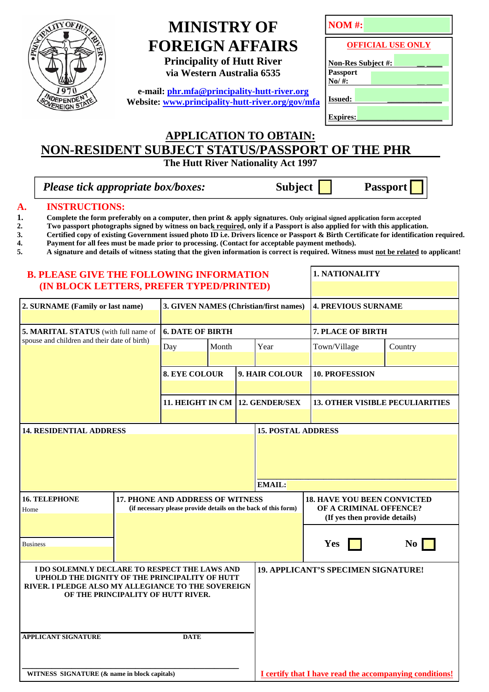| OFHUT       |
|-------------|
| WORPENDENTE |

# **MINISTRY OF FOREIGN AFFAIRS Principality of Hutt River**

**via Western Australia 6535** 

**e-mail: phr.mfa@principality-hutt-river.org Website: www.principality-hutt-river.org/gov/mfa**

| <b>NOM#:</b>              |  |  |  |  |  |  |  |
|---------------------------|--|--|--|--|--|--|--|
| <b>OFFICIAL USE ONLY</b>  |  |  |  |  |  |  |  |
| <b>Non-Res Subject #:</b> |  |  |  |  |  |  |  |
| <b>Passport</b><br>No/#:  |  |  |  |  |  |  |  |
| <b>Issued:</b>            |  |  |  |  |  |  |  |
| <b>Expires:</b>           |  |  |  |  |  |  |  |

## **APPLICATION TO OBTAIN:**

### **NON-RESIDENT SUBJECT STATUS/PASSPORT OF THE PHR The Hutt River Nationality Act 1997**

*Please tick appropriate box/boxes:*<br>**Subject Passport** 

**1. NATIONALITY** 

#### **A. INSTRUCTIONS:**

- **1. Complete the form preferably on a computer, then print & apply signatures. Only original signed application form accepted**
- **2. Two passport photographs signed by witness on back required, only if a Passport is also applied for with this application.** 
	- **3. Certified copy of existing Government issued photo ID i.e. Drivers licence or Passport & Birth Certificate for identification required.**
- **4. Payment for all fees must be made prior to processing. (Contact for acceptable payment methods).**
- **5. A signature and details of witness stating that the given information is correct is required. Witness must not be related to applicant!**

### **B. PLEASE GIVE THE FOLLOWING INFORMATION (IN BLOCK LETTERS, PREFER TYPED/PRINTED)**

| 2. SURNAME (Family or last name)                                                                      | 3. GIVEN NAMES (Christian/first names)                         |                                   |       |                                                         | <b>4. PREVIOUS SURNAME</b> |                                                                                                                   |                   |  |
|-------------------------------------------------------------------------------------------------------|----------------------------------------------------------------|-----------------------------------|-------|---------------------------------------------------------|----------------------------|-------------------------------------------------------------------------------------------------------------------|-------------------|--|
|                                                                                                       |                                                                |                                   |       |                                                         |                            |                                                                                                                   |                   |  |
| 5. MARITAL STATUS (with full name of<br>spouse and children and their date of birth)                  |                                                                | <b>6. DATE OF BIRTH</b>           |       |                                                         |                            |                                                                                                                   | 7. PLACE OF BIRTH |  |
|                                                                                                       |                                                                | Day                               | Month |                                                         | Year                       | Town/Village                                                                                                      | Country           |  |
|                                                                                                       |                                                                |                                   |       |                                                         |                            |                                                                                                                   |                   |  |
|                                                                                                       |                                                                | <b>8. EYE COLOUR</b>              |       | 9. HAIR COLOUR                                          |                            | 10. PROFESSION                                                                                                    |                   |  |
|                                                                                                       |                                                                |                                   |       |                                                         |                            |                                                                                                                   |                   |  |
|                                                                                                       |                                                                | 11. HEIGHT IN CM   12. GENDER/SEX |       |                                                         |                            | <b>13. OTHER VISIBLE PECULIARITIES</b>                                                                            |                   |  |
|                                                                                                       |                                                                |                                   |       |                                                         |                            |                                                                                                                   |                   |  |
| <b>14. RESIDENTIAL ADDRESS</b>                                                                        |                                                                |                                   |       |                                                         | <b>15. POSTAL ADDRESS</b>  |                                                                                                                   |                   |  |
|                                                                                                       |                                                                |                                   |       |                                                         |                            |                                                                                                                   |                   |  |
|                                                                                                       |                                                                |                                   |       |                                                         |                            |                                                                                                                   |                   |  |
|                                                                                                       |                                                                |                                   |       |                                                         |                            |                                                                                                                   |                   |  |
|                                                                                                       |                                                                |                                   |       |                                                         | EMAIL:                     |                                                                                                                   |                   |  |
| <b>16. TELEPHONE</b>                                                                                  | <b>17. PHONE AND ADDRESS OF WITNESS</b>                        |                                   |       |                                                         |                            | <b>18. HAVE YOU BEEN CONVICTED</b><br>OF A CRIMINAL OFFENCE?<br>(If yes then provide details)<br>Yes<br>$\bf{No}$ |                   |  |
| Home                                                                                                  | (if necessary please provide details on the back of this form) |                                   |       |                                                         |                            |                                                                                                                   |                   |  |
|                                                                                                       |                                                                |                                   |       |                                                         |                            |                                                                                                                   |                   |  |
| <b>Business</b>                                                                                       |                                                                |                                   |       |                                                         |                            |                                                                                                                   |                   |  |
|                                                                                                       |                                                                |                                   |       |                                                         |                            |                                                                                                                   |                   |  |
| I DO SOLEMNLY DECLARE TO RESPECT THE LAWS AND                                                         |                                                                |                                   |       |                                                         |                            | <b>19. APPLICANT'S SPECIMEN SIGNATURE!</b>                                                                        |                   |  |
| UPHOLD THE DIGNITY OF THE PRINCIPALITY OF HUTT<br>RIVER. I PLEDGE ALSO MY ALLEGIANCE TO THE SOVEREIGN |                                                                |                                   |       |                                                         |                            |                                                                                                                   |                   |  |
| OF THE PRINCIPALITY OF HUTT RIVER.                                                                    |                                                                |                                   |       |                                                         |                            |                                                                                                                   |                   |  |
|                                                                                                       |                                                                |                                   |       |                                                         |                            |                                                                                                                   |                   |  |
|                                                                                                       |                                                                |                                   |       |                                                         |                            |                                                                                                                   |                   |  |
| <b>APPLICANT SIGNATURE</b><br><b>DATE</b>                                                             |                                                                |                                   |       |                                                         |                            |                                                                                                                   |                   |  |
|                                                                                                       |                                                                |                                   |       |                                                         |                            |                                                                                                                   |                   |  |
|                                                                                                       |                                                                |                                   |       |                                                         |                            |                                                                                                                   |                   |  |
| WITNESS SIGNATURE (& name in block capitals)                                                          |                                                                |                                   |       | I certify that I have read the accompanying conditions! |                            |                                                                                                                   |                   |  |